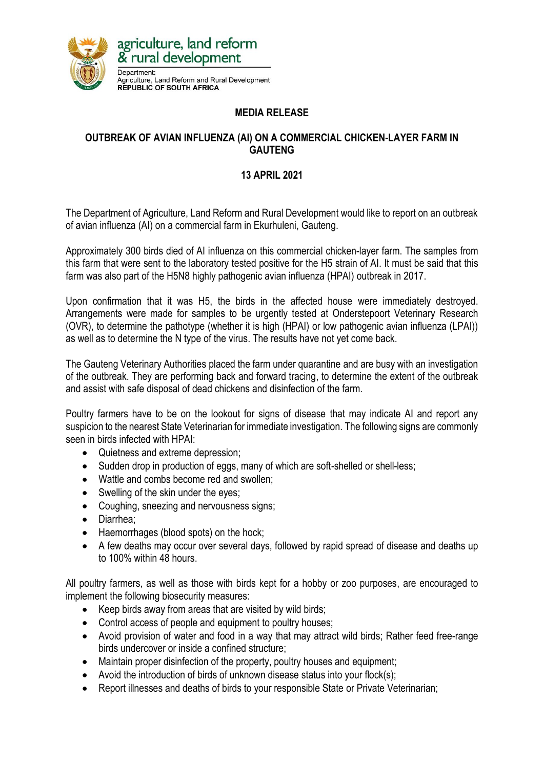

## **MEDIA RELEASE**

## **OUTBREAK OF AVIAN INFLUENZA (AI) ON A COMMERCIAL CHICKEN-LAYER FARM IN GAUTENG**

## **13 APRIL 2021**

The Department of Agriculture, Land Reform and Rural Development would like to report on an outbreak of avian influenza (AI) on a commercial farm in Ekurhuleni, Gauteng.

Approximately 300 birds died of AI influenza on this commercial chicken-layer farm. The samples from this farm that were sent to the laboratory tested positive for the H5 strain of AI. It must be said that this farm was also part of the H5N8 highly pathogenic avian influenza (HPAI) outbreak in 2017.

Upon confirmation that it was H5, the birds in the affected house were immediately destroyed. Arrangements were made for samples to be urgently tested at Onderstepoort Veterinary Research (OVR), to determine the pathotype (whether it is high (HPAI) or low pathogenic avian influenza (LPAI)) as well as to determine the N type of the virus. The results have not yet come back.

The Gauteng Veterinary Authorities placed the farm under quarantine and are busy with an investigation of the outbreak. They are performing back and forward tracing, to determine the extent of the outbreak and assist with safe disposal of dead chickens and disinfection of the farm.

Poultry farmers have to be on the lookout for signs of disease that may indicate AI and report any suspicion to the nearest State Veterinarian for immediate investigation. The following signs are commonly seen in birds infected with HPAI:

- Quietness and extreme depression;
- Sudden drop in production of eggs, many of which are soft-shelled or shell-less;
- Wattle and combs become red and swollen;
- Swelling of the skin under the eyes;
- Coughing, sneezing and nervousness signs;
- Diarrhea:
- Haemorrhages (blood spots) on the hock;
- A few deaths may occur over several days, followed by rapid spread of disease and deaths up to 100% within 48 hours.

All poultry farmers, as well as those with birds kept for a hobby or zoo purposes, are encouraged to implement the following biosecurity measures:

- Keep birds away from areas that are visited by wild birds;
- Control access of people and equipment to poultry houses;
- Avoid provision of water and food in a way that may attract wild birds; Rather feed free-range birds undercover or inside a confined structure;
- Maintain proper disinfection of the property, poultry houses and equipment;
- Avoid the introduction of birds of unknown disease status into your flock(s);
- Report illnesses and deaths of birds to your responsible State or Private Veterinarian;